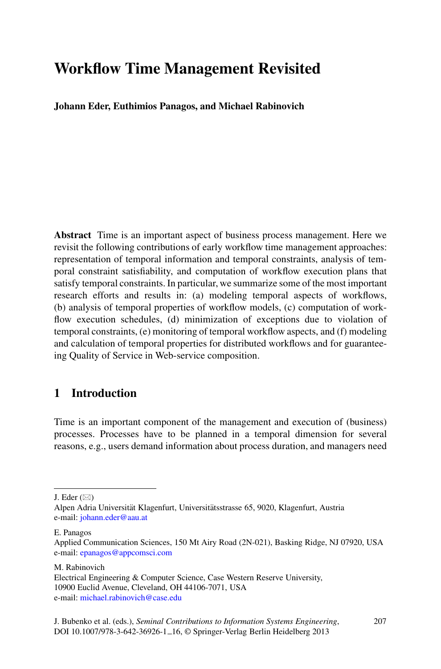# **Workflow Time Management Revisited**

**Johann Eder, Euthimios Panagos, and Michael Rabinovich**

**Abstract** Time is an important aspect of business process management. Here we revisit the following contributions of early workflow time management approaches: representation of temporal information and temporal constraints, analysis of temporal constraint satisfiability, and computation of workflow execution plans that satisfy temporal constraints. In particular, we summarize some of the most important research efforts and results in: (a) modeling temporal aspects of workflows, (b) analysis of temporal properties of workflow models, (c) computation of workflow execution schedules, (d) minimization of exceptions due to violation of temporal constraints, (e) monitoring of temporal workflow aspects, and (f) modeling and calculation of temporal properties for distributed workflows and for guaranteeing Quality of Service in Web-service composition.

# **1 Introduction**

Time is an important component of the management and execution of (business) processes. Processes have to be planned in a temporal dimension for several reasons, e.g., users demand information about process duration, and managers need

E. Panagos

M. Rabinovich

J. Eder  $(\boxtimes)$ 

Alpen Adria Universität Klagenfurt, Universitätsstrasse 65, 9020, Klagenfurt, Austria e-mail: [johann.eder@aau.at](mailto:johann.eder@aau.at)

Applied Communication Sciences, 150 Mt Airy Road (2N-021), Basking Ridge, NJ 07920, USA e-mail: [epanagos@appcomsci.com](mailto:epanagos@appcomsci.com)

Electrical Engineering & Computer Science, Case Western Reserve University, 10900 Euclid Avenue, Cleveland, OH 44106-7071, USA e-mail: [michael.rabinovich@case.edu](mailto:michael.rabinovich@case.edu)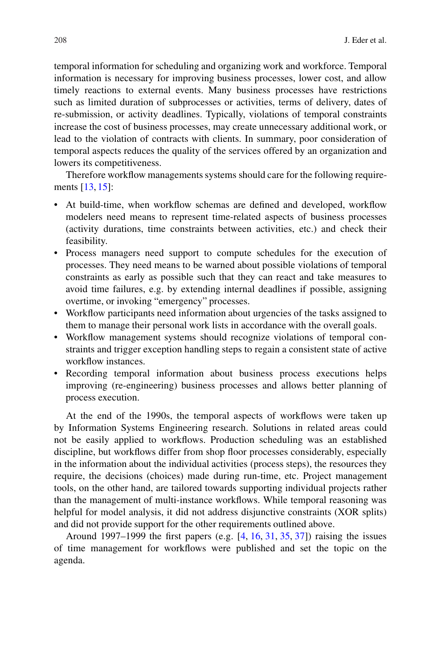temporal information for scheduling and organizing work and workforce. Temporal information is necessary for improving business processes, lower cost, and allow timely reactions to external events. Many business processes have restrictions such as limited duration of subprocesses or activities, terms of delivery, dates of re-submission, or activity deadlines. Typically, violations of temporal constraints increase the cost of business processes, may create unnecessary additional work, or lead to the violation of contracts with clients. In summary, poor consideration of temporal aspects reduces the quality of the services offered by an organization and lowers its competitiveness.

Therefore workflow managements systems should care for the following requirements [\[13,](#page-4-0) [15\]](#page-4-1):

- At build-time, when workflow schemas are defined and developed, workflow modelers need means to represent time-related aspects of business processes (activity durations, time constraints between activities, etc.) and check their feasibility.
- Process managers need support to compute schedules for the execution of processes. They need means to be warned about possible violations of temporal constraints as early as possible such that they can react and take measures to avoid time failures, e.g. by extending internal deadlines if possible, assigning overtime, or invoking "emergency" processes.
- Workflow participants need information about urgencies of the tasks assigned to them to manage their personal work lists in accordance with the overall goals.
- Workflow management systems should recognize violations of temporal constraints and trigger exception handling steps to regain a consistent state of active workflow instances.
- Recording temporal information about business process executions helps improving (re-engineering) business processes and allows better planning of process execution.

At the end of the 1990s, the temporal aspects of workflows were taken up by Information Systems Engineering research. Solutions in related areas could not be easily applied to workflows. Production scheduling was an established discipline, but workflows differ from shop floor processes considerably, especially in the information about the individual activities (process steps), the resources they require, the decisions (choices) made during run-time, etc. Project management tools, on the other hand, are tailored towards supporting individual projects rather than the management of multi-instance workflows. While temporal reasoning was helpful for model analysis, it did not address disjunctive constraints (XOR splits) and did not provide support for the other requirements outlined above.

Around 1997–1999 the first papers (e.g. [\[4,](#page-4-2) [16,](#page-4-3) [31,](#page-5-0) [35,](#page-5-1) [37\]](#page-5-2)) raising the issues of time management for workflows were published and set the topic on the agenda.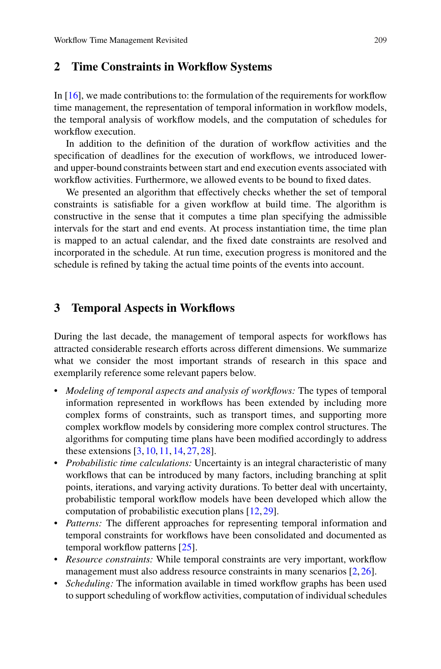#### **2 Time Constraints in Workflow Systems**

In  $[16]$ , we made contributions to: the formulation of the requirements for workflow time management, the representation of temporal information in workflow models, the temporal analysis of workflow models, and the computation of schedules for workflow execution.

In addition to the definition of the duration of workflow activities and the specification of deadlines for the execution of workflows, we introduced lowerand upper-bound constraints between start and end execution events associated with workflow activities. Furthermore, we allowed events to be bound to fixed dates.

We presented an algorithm that effectively checks whether the set of temporal constraints is satisfiable for a given workflow at build time. The algorithm is constructive in the sense that it computes a time plan specifying the admissible intervals for the start and end events. At process instantiation time, the time plan is mapped to an actual calendar, and the fixed date constraints are resolved and incorporated in the schedule. At run time, execution progress is monitored and the schedule is refined by taking the actual time points of the events into account.

#### **3 Temporal Aspects in Workflows**

During the last decade, the management of temporal aspects for workflows has attracted considerable research efforts across different dimensions. We summarize what we consider the most important strands of research in this space and exemplarily reference some relevant papers below.

- *Modeling of temporal aspects and analysis of workflows:* The types of temporal information represented in workflows has been extended by including more complex forms of constraints, such as transport times, and supporting more complex workflow models by considering more complex control structures. The algorithms for computing time plans have been modified accordingly to address these extensions [\[3,](#page-4-4) [10,](#page-4-5) [11,](#page-4-6) [14,](#page-4-7) [27,](#page-5-3) [28\]](#page-5-4).
- *Probabilistic time calculations:* Uncertainty is an integral characteristic of many workflows that can be introduced by many factors, including branching at split points, iterations, and varying activity durations. To better deal with uncertainty, probabilistic temporal workflow models have been developed which allow the computation of probabilistic execution plans [\[12,](#page-4-8) [29\]](#page-5-5).
- *Patterns:* The different approaches for representing temporal information and temporal constraints for workflows have been consolidated and documented as temporal workflow patterns [\[25\]](#page-5-6).
- *Resource constraints:* While temporal constraints are very important, workflow management must also address resource constraints in many scenarios [\[2,](#page-4-9) [26\]](#page-5-7).
- *Scheduling:* The information available in timed workflow graphs has been used to support scheduling of workflow activities, computation of individual schedules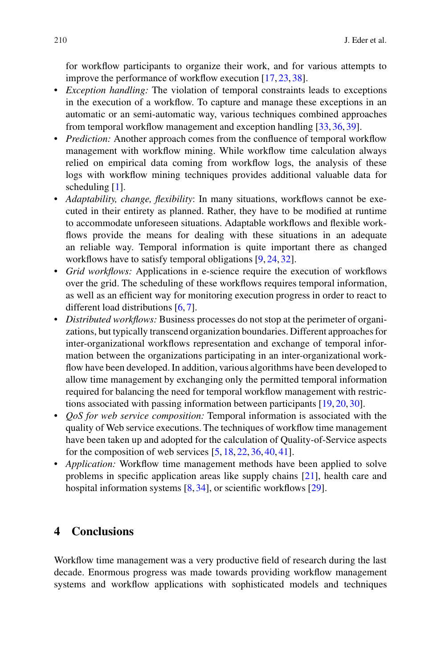for workflow participants to organize their work, and for various attempts to improve the performance of workflow execution [\[17,](#page-4-10) [23,](#page-5-8) [38\]](#page-5-9).

- *Exception handling:* The violation of temporal constraints leads to exceptions in the execution of a workflow. To capture and manage these exceptions in an automatic or an semi-automatic way, various techniques combined approaches from temporal workflow management and exception handling [\[33,](#page-5-10) [36,](#page-5-11) [39\]](#page-5-12).
- *Prediction:* Another approach comes from the confluence of temporal workflow management with workflow mining. While workflow time calculation always relied on empirical data coming from workflow logs, the analysis of these logs with workflow mining techniques provides additional valuable data for scheduling [\[1\]](#page-4-11).
- *Adaptability, change, flexibility*: In many situations, workflows cannot be executed in their entirety as planned. Rather, they have to be modified at runtime to accommodate unforeseen situations. Adaptable workflows and flexible workflows provide the means for dealing with these situations in an adequate an reliable way. Temporal information is quite important there as changed workflows have to satisfy temporal obligations [\[9,](#page-4-12) [24,](#page-5-13) [32\]](#page-5-14).
- *Grid workflows:* Applications in e-science require the execution of workflows over the grid. The scheduling of these workflows requires temporal information, as well as an efficient way for monitoring execution progress in order to react to different load distributions [\[6,](#page-4-13) [7\]](#page-4-14).
- *Distributed workflows:* Business processes do not stop at the perimeter of organizations, but typically transcend organization boundaries. Different approaches for inter-organizational workflows representation and exchange of temporal information between the organizations participating in an inter-organizational workflow have been developed. In addition, various algorithms have been developed to allow time management by exchanging only the permitted temporal information required for balancing the need for temporal workflow management with restrictions associated with passing information between participants [\[19,](#page-5-15) [20,](#page-5-16) [30\]](#page-5-17).
- *QoS for web service composition:* Temporal information is associated with the quality of Web service executions. The techniques of workflow time management have been taken up and adopted for the calculation of Quality-of-Service aspects for the composition of web services  $[5, 18, 22, 36, 40, 41]$  $[5, 18, 22, 36, 40, 41]$  $[5, 18, 22, 36, 40, 41]$  $[5, 18, 22, 36, 40, 41]$  $[5, 18, 22, 36, 40, 41]$  $[5, 18, 22, 36, 40, 41]$  $[5, 18, 22, 36, 40, 41]$  $[5, 18, 22, 36, 40, 41]$  $[5, 18, 22, 36, 40, 41]$  $[5, 18, 22, 36, 40, 41]$  $[5, 18, 22, 36, 40, 41]$ .
- *Application:* Workflow time management methods have been applied to solve problems in specific application areas like supply chains [\[21\]](#page-5-20), health care and hospital information systems [\[8,](#page-4-16) [34\]](#page-5-21), or scientific workflows [\[29\]](#page-5-5).

## **4 Conclusions**

Workflow time management was a very productive field of research during the last decade. Enormous progress was made towards providing workflow management systems and workflow applications with sophisticated models and techniques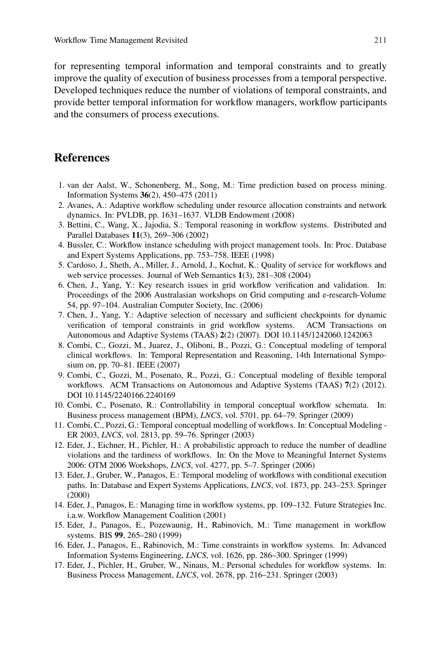for representing temporal information and temporal constraints and to greatly improve the quality of execution of business processes from a temporal perspective. Developed techniques reduce the number of violations of temporal constraints, and provide better temporal information for workflow managers, workflow participants and the consumers of process executions.

### **References**

- <span id="page-4-11"></span>1. van der Aalst, W., Schonenberg, M., Song, M.: Time prediction based on process mining. Information Systems **36**(2), 450–475 (2011)
- <span id="page-4-9"></span>2. Avanes, A.: Adaptive workflow scheduling under resource allocation constraints and network dynamics. In: PVLDB, pp. 1631–1637. VLDB Endowment (2008)
- <span id="page-4-4"></span>3. Bettini, C., Wang, X., Jajodia, S.: Temporal reasoning in workflow systems. Distributed and Parallel Databases **11**(3), 269–306 (2002)
- <span id="page-4-2"></span>4. Bussler, C.: Workflow instance scheduling with project management tools. In: Proc. Database and Expert Systems Applications, pp. 753–758. IEEE (1998)
- <span id="page-4-15"></span>5. Cardoso, J., Sheth, A., Miller, J., Arnold, J., Kochut, K.: Quality of service for workflows and web service processes. Journal of Web Semantics **1**(3), 281–308 (2004)
- <span id="page-4-13"></span>6. Chen, J., Yang, Y.: Key research issues in grid workflow verification and validation. In: Proceedings of the 2006 Australasian workshops on Grid computing and e-research-Volume 54, pp. 97–104. Australian Computer Society, Inc. (2006)
- <span id="page-4-14"></span>7. Chen, J., Yang, Y.: Adaptive selection of necessary and sufficient checkpoints for dynamic verification of temporal constraints in grid workflow systems. ACM Transactions on Autonomous and Adaptive Systems (TAAS) **2**(2) (2007). DOI 10.1145/1242060.1242063
- <span id="page-4-16"></span>8. Combi, C., Gozzi, M., Juarez, J., Oliboni, B., Pozzi, G.: Conceptual modeling of temporal clinical workflows. In: Temporal Representation and Reasoning, 14th International Symposium on, pp. 70–81. IEEE (2007)
- <span id="page-4-12"></span>9. Combi, C., Gozzi, M., Posenato, R., Pozzi, G.: Conceptual modeling of flexible temporal workflows. ACM Transactions on Autonomous and Adaptive Systems (TAAS) **7**(2) (2012). DOI 10.1145/2240166.2240169
- <span id="page-4-5"></span>10. Combi, C., Posenato, R.: Controllability in temporal conceptual workflow schemata. In: Business process management (BPM), *LNCS*, vol. 5701, pp. 64–79. Springer (2009)
- <span id="page-4-6"></span>11. Combi, C., Pozzi, G.: Temporal conceptual modelling of workflows. In: Conceptual Modeling - ER 2003, *LNCS*, vol. 2813, pp. 59–76. Springer (2003)
- <span id="page-4-8"></span>12. Eder, J., Eichner, H., Pichler, H.: A probabilistic approach to reduce the number of deadline violations and the tardiness of workflows. In: On the Move to Meaningful Internet Systems 2006: OTM 2006 Workshops, *LNCS*, vol. 4277, pp. 5–7. Springer (2006)
- <span id="page-4-0"></span>13. Eder, J., Gruber, W., Panagos, E.: Temporal modeling of workflows with conditional execution paths. In: Database and Expert Systems Applications, *LNCS*, vol. 1873, pp. 243–253. Springer (2000)
- <span id="page-4-7"></span>14. Eder, J., Panagos, E.: Managing time in workflow systems, pp. 109–132. Future Strategies Inc. i.a.w. Workflow Management Coalition (2001)
- <span id="page-4-1"></span>15. Eder, J., Panagos, E., Pozewaunig, H., Rabinovich, M.: Time management in workflow systems. BIS **99**, 265–280 (1999)
- <span id="page-4-3"></span>16. Eder, J., Panagos, E., Rabinovich, M.: Time constraints in workflow systems. In: Advanced Information Systems Engineering, *LNCS*, vol. 1626, pp. 286–300. Springer (1999)
- <span id="page-4-10"></span>17. Eder, J., Pichler, H., Gruber, W., Ninaus, M.: Personal schedules for workflow systems. In: Business Process Management, *LNCS*, vol. 2678, pp. 216–231. Springer (2003)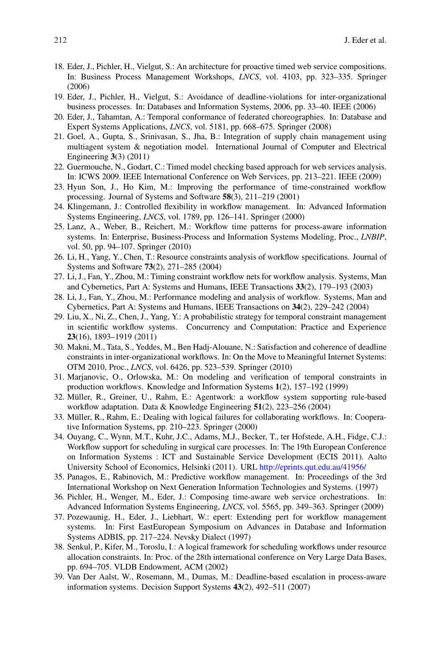- <span id="page-5-18"></span>18. Eder, J., Pichler, H., Vielgut, S.: An architecture for proactive timed web service compositions. In: Business Process Management Workshops, *LNCS*, vol. 4103, pp. 323–335. Springer (2006)
- <span id="page-5-15"></span>19. Eder, J., Pichler, H., Vielgut, S.: Avoidance of deadline-violations for inter-organizational business processes. In: Databases and Information Systems, 2006, pp. 33–40. IEEE (2006)
- <span id="page-5-16"></span>20. Eder, J., Tahamtan, A.: Temporal conformance of federated choreographies. In: Database and Expert Systems Applications, *LNCS*, vol. 5181, pp. 668–675. Springer (2008)
- <span id="page-5-20"></span>21. Goel, A., Gupta, S., Srinivasan, S., Jha, B.: Integration of supply chain management using multiagent system & negotiation model. International Journal of Computer and Electrical Engineering **3**(3) (2011)
- <span id="page-5-19"></span>22. Guermouche, N., Godart, C.: Timed model checking based approach for web services analysis. In: ICWS 2009. IEEE International Conference on Web Services, pp. 213–221. IEEE (2009)
- <span id="page-5-8"></span>23. Hyun Son, J., Ho Kim, M.: Improving the performance of time-constrained workflow processing. Journal of Systems and Software **58**(3), 211–219 (2001)
- <span id="page-5-13"></span>24. Klingemann, J.: Controlled flexibility in workflow management. In: Advanced Information Systems Engineering, *LNCS*, vol. 1789, pp. 126–141. Springer (2000)
- <span id="page-5-6"></span>25. Lanz, A., Weber, B., Reichert, M.: Workflow time patterns for process-aware information systems. In: Enterprise, Business-Process and Information Systems Modeling, Proc., *LNBIP*, vol. 50, pp. 94–107. Springer (2010)
- <span id="page-5-7"></span>26. Li, H., Yang, Y., Chen, T.: Resource constraints analysis of workflow specifications. Journal of Systems and Software **73**(2), 271–285 (2004)
- <span id="page-5-3"></span>27. Li, J., Fan, Y., Zhou, M.: Timing constraint workflow nets for workflow analysis. Systems, Man and Cybernetics, Part A: Systems and Humans, IEEE Transactions **33**(2), 179–193 (2003)
- <span id="page-5-4"></span>28. Li, J., Fan, Y., Zhou, M.: Performance modeling and analysis of workflow. Systems, Man and Cybernetics, Part A: Systems and Humans, IEEE Transactions on **34**(2), 229–242 (2004)
- <span id="page-5-5"></span>29. Liu, X., Ni, Z., Chen, J., Yang, Y.: A probabilistic strategy for temporal constraint management in scientific workflow systems. Concurrency and Computation: Practice and Experience **23**(16), 1893–1919 (2011)
- <span id="page-5-17"></span>30. Makni, M., Tata, S., Yeddes, M., Ben Hadj-Alouane, N.: Satisfaction and coherence of deadline constraints in inter-organizational workflows. In: On the Move to Meaningful Internet Systems: OTM 2010, Proc., *LNCS*, vol. 6426, pp. 523–539. Springer (2010)
- <span id="page-5-0"></span>31. Marjanovic, O., Orlowska, M.: On modeling and verification of temporal constraints in production workflows. Knowledge and Information Systems **1**(2), 157–192 (1999)
- <span id="page-5-14"></span>32. M¨uller, R., Greiner, U., Rahm, E.: Agentwork: a workflow system supporting rule-based workflow adaptation. Data & Knowledge Engineering **51**(2), 223–256 (2004)
- <span id="page-5-10"></span>33. Müller, R., Rahm, E.: Dealing with logical failures for collaborating workflows. In: Cooperative Information Systems, pp. 210–223. Springer (2000)
- <span id="page-5-21"></span>34. Ouyang, C., Wynn, M.T., Kuhr, J.C., Adams, M.J., Becker, T., ter Hofstede, A.H., Fidge, C.J.: Workflow support for scheduling in surgical care processes. In: The 19th European Conference on Information Systems : ICT and Sustainable Service Development (ECIS 2011). Aalto University School of Economics, Helsinki (2011). URL <http://eprints.qut.edu.au/41956/>
- <span id="page-5-1"></span>35. Panagos, E., Rabinovich, M.: Predictive workflow management. In: Proceedings of the 3rd International Workshop on Next Generation Information Technologies and Systems. (1997)
- <span id="page-5-11"></span>36. Pichler, H., Wenger, M., Eder, J.: Composing time-aware web service orchestrations. In: Advanced Information Systems Engineering, *LNCS*, vol. 5565, pp. 349–363. Springer (2009)
- <span id="page-5-2"></span>37. Pozewaunig, H., Eder, J., Liebhart, W.: epert: Extending pert for workflow management systems. In: First EastEuropean Symposium on Advances in Database and Information Systems ADBIS, pp. 217–224. Nevsky Dialect (1997)
- <span id="page-5-9"></span>38. Senkul, P., Kifer, M., Toroslu, I.: A logical framework for scheduling workflows under resource allocation constraints. In: Proc. of the 28th international conference on Very Large Data Bases, pp. 694–705. VLDB Endowment, ACM (2002)
- <span id="page-5-12"></span>39. Van Der Aalst, W., Rosemann, M., Dumas, M.: Deadline-based escalation in process-aware information systems. Decision Support Systems **43**(2), 492–511 (2007)